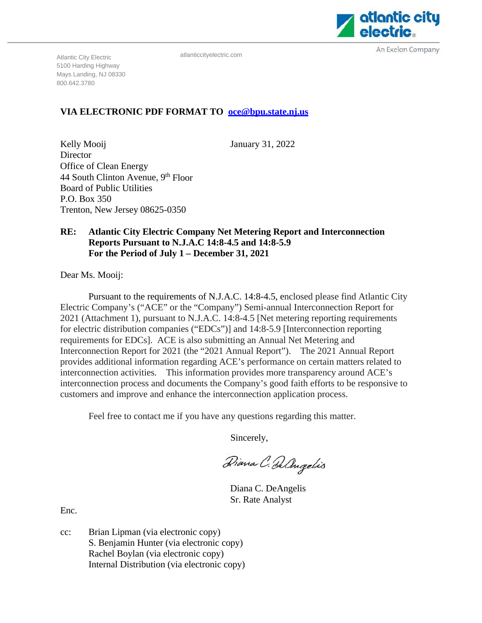

An Exelon Company

atlanticcityelectric.com

Atlantic City Electric 5100 Harding Highway Mays Landing, NJ 08330 800.642.3780

# **VIA ELECTRONIC PDF FORMAT TO [oce@bpu.state.nj.us](mailto:oce@bpu.state.nj.us)**

January 31, 2022

Kelly Mooij Director Office of Clean Energy 44 South Clinton Avenue, 9th Floor Board of Public Utilities P.O. Box 350 Trenton, New Jersey 08625-0350

## **RE: Atlantic City Electric Company Net Metering Report and Interconnection Reports Pursuant to N.J.A.C 14:8-4.5 and 14:8-5.9 For the Period of July 1 – December 31, 2021**

Dear Ms. Mooij:

Pursuant to the requirements of N.J.A.C. 14:8-4.5, enclosed please find Atlantic City Electric Company's ("ACE" or the "Company") Semi-annual Interconnection Report for 2021 (Attachment 1), pursuant to N.J.A.C. 14:8-4.5 [Net metering reporting requirements for electric distribution companies ("EDCs")] and 14:8-5.9 [Interconnection reporting requirements for EDCs]. ACE is also submitting an Annual Net Metering and Interconnection Report for 2021 (the "2021 Annual Report"). The 2021 Annual Report provides additional information regarding ACE's performance on certain matters related to interconnection activities. This information provides more transparency around ACE's interconnection process and documents the Company's good faith efforts to be responsive to customers and improve and enhance the interconnection application process.

Feel free to contact me if you have any questions regarding this matter.

Sincerely,

Diana C. De Angelis

Diana C. DeAngelis Sr. Rate Analyst

Enc.

cc: Brian Lipman (via electronic copy) S. Benjamin Hunter (via electronic copy) Rachel Boylan (via electronic copy) Internal Distribution (via electronic copy)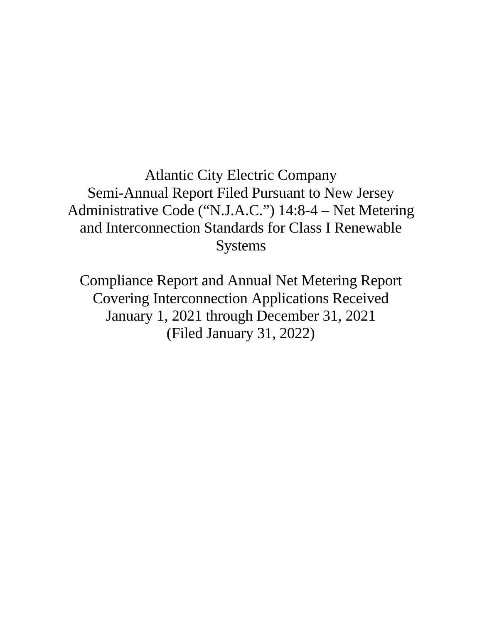Atlantic City Electric Company Semi-Annual Report Filed Pursuant to New Jersey Administrative Code ("N.J.A.C.") 14:8-4 – Net Metering and Interconnection Standards for Class I Renewable Systems

Compliance Report and Annual Net Metering Report Covering Interconnection Applications Received January 1, 2021 through December 31, 2021 (Filed January 31, 2022)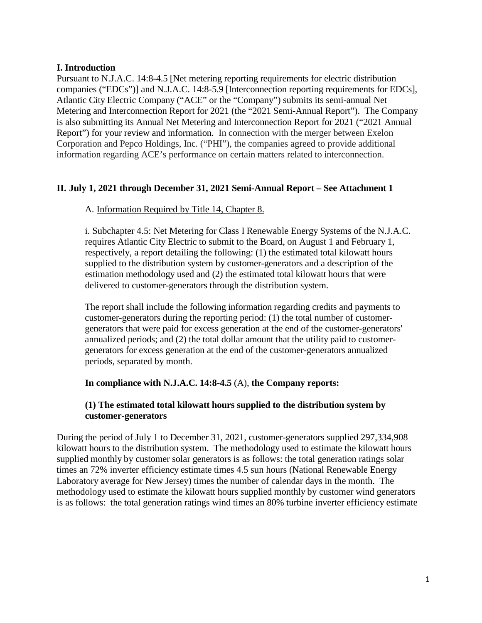## **I. Introduction**

Pursuant to N.J.A.C. 14:8-4.5 [Net metering reporting requirements for electric distribution companies ("EDCs")] and N.J.A.C. 14:8-5.9 [Interconnection reporting requirements for EDCs], Atlantic City Electric Company ("ACE" or the "Company") submits its semi-annual Net Metering and Interconnection Report for 2021 (the "2021 Semi-Annual Report"). The Company is also submitting its Annual Net Metering and Interconnection Report for 2021 ("2021 Annual Report") for your review and information. In connection with the merger between Exelon Corporation and Pepco Holdings, Inc. ("PHI"), the companies agreed to provide additional information regarding ACE's performance on certain matters related to interconnection.

# **II. July 1, 2021 through December 31, 2021 Semi-Annual Report – See Attachment 1**

## A. Information Required by Title 14, Chapter 8.

i. Subchapter 4.5: Net Metering for Class I Renewable Energy Systems of the N.J.A.C. requires Atlantic City Electric to submit to the Board, on August 1 and February 1, respectively, a report detailing the following: (1) the estimated total kilowatt hours supplied to the distribution system by customer-generators and a description of the estimation methodology used and (2) the estimated total kilowatt hours that were delivered to customer-generators through the distribution system.

The report shall include the following information regarding credits and payments to customer-generators during the reporting period: (1) the total number of customergenerators that were paid for excess generation at the end of the customer-generators' annualized periods; and (2) the total dollar amount that the utility paid to customergenerators for excess generation at the end of the customer-generators annualized periods, separated by month.

#### **In compliance with N.J.A.C. 14:8-4.5** (A), **the Company reports:**

# **(1) The estimated total kilowatt hours supplied to the distribution system by customer-generators**

During the period of July 1 to December 31, 2021, customer-generators supplied 297,334,908 kilowatt hours to the distribution system. The methodology used to estimate the kilowatt hours supplied monthly by customer solar generators is as follows: the total generation ratings solar times an 72% inverter efficiency estimate times 4.5 sun hours (National Renewable Energy Laboratory average for New Jersey) times the number of calendar days in the month. The methodology used to estimate the kilowatt hours supplied monthly by customer wind generators is as follows: the total generation ratings wind times an 80% turbine inverter efficiency estimate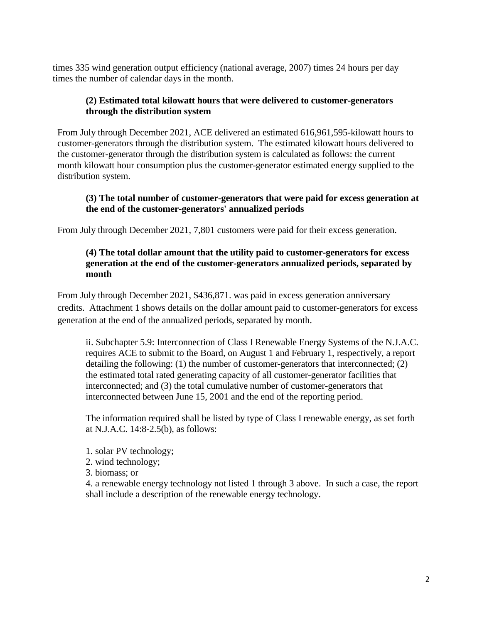times 335 wind generation output efficiency (national average, 2007) times 24 hours per day times the number of calendar days in the month.

# **(2) Estimated total kilowatt hours that were delivered to customer-generators through the distribution system**

From July through December 2021, ACE delivered an estimated 616,961,595-kilowatt hours to customer-generators through the distribution system. The estimated kilowatt hours delivered to the customer-generator through the distribution system is calculated as follows: the current month kilowatt hour consumption plus the customer-generator estimated energy supplied to the distribution system.

## **(3) The total number of customer-generators that were paid for excess generation at the end of the customer-generators' annualized periods**

From July through December 2021, 7,801 customers were paid for their excess generation.

# **(4) The total dollar amount that the utility paid to customer-generators for excess generation at the end of the customer-generators annualized periods, separated by month**

From July through December 2021, \$436,871. was paid in excess generation anniversary credits. Attachment 1 shows details on the dollar amount paid to customer-generators for excess generation at the end of the annualized periods, separated by month.

ii. Subchapter 5.9: Interconnection of Class I Renewable Energy Systems of the N.J.A.C. requires ACE to submit to the Board, on August 1 and February 1, respectively, a report detailing the following: (1) the number of customer-generators that interconnected; (2) the estimated total rated generating capacity of all customer-generator facilities that interconnected; and (3) the total cumulative number of customer-generators that interconnected between June 15, 2001 and the end of the reporting period.

The information required shall be listed by type of Class I renewable energy, as set forth at N.J.A.C. 14:8-2.5(b), as follows:

- 1. solar PV technology;
- 2. wind technology;
- 3. biomass; or

4. a renewable energy technology not listed 1 through 3 above. In such a case, the report shall include a description of the renewable energy technology.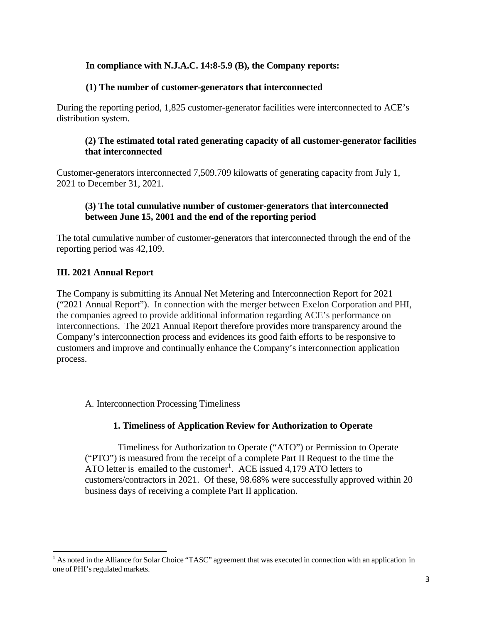# **In compliance with N.J.A.C. 14:8-5.9 (B), the Company reports:**

#### **(1) The number of customer-generators that interconnected**

During the reporting period, 1,825 customer-generator facilities were interconnected to ACE's distribution system.

#### **(2) The estimated total rated generating capacity of all customer-generator facilities that interconnected**

Customer-generators interconnected 7,509.709 kilowatts of generating capacity from July 1, 2021 to December 31, 2021.

## **(3) The total cumulative number of customer-generators that interconnected between June 15, 2001 and the end of the reporting period**

The total cumulative number of customer-generators that interconnected through the end of the reporting period was 42,109.

## **III. 2021 Annual Report**

The Company is submitting its Annual Net Metering and Interconnection Report for 2021 ("2021 Annual Report"). In connection with the merger between Exelon Corporation and PHI, the companies agreed to provide additional information regarding ACE's performance on interconnections. The 2021 Annual Report therefore provides more transparency around the Company's interconnection process and evidences its good faith efforts to be responsive to customers and improve and continually enhance the Company's interconnection application process.

#### A. Interconnection Processing Timeliness

#### **1. Timeliness of Application Review for Authorization to Operate**

Timeliness for Authorization to Operate ("ATO") or Permission to Operate ("PTO") is measured from the receipt of a complete Part II Request to the time the ATO letter is emailed to the customer<sup>[1](#page-4-0)</sup>. ACE issued 4,179 ATO letters to customers/contractors in 2021. Of these, 98.68% were successfully approved within 20 business days of receiving a complete Part II application.

<span id="page-4-0"></span> $<sup>1</sup>$  As noted in the Alliance for Solar Choice "TASC" agreement that was executed in connection with an application in</sup> one of PHI's regulated markets.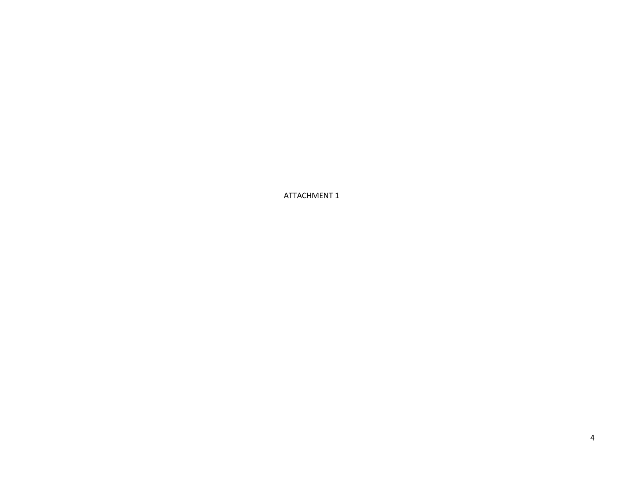ATTACHMENT 1